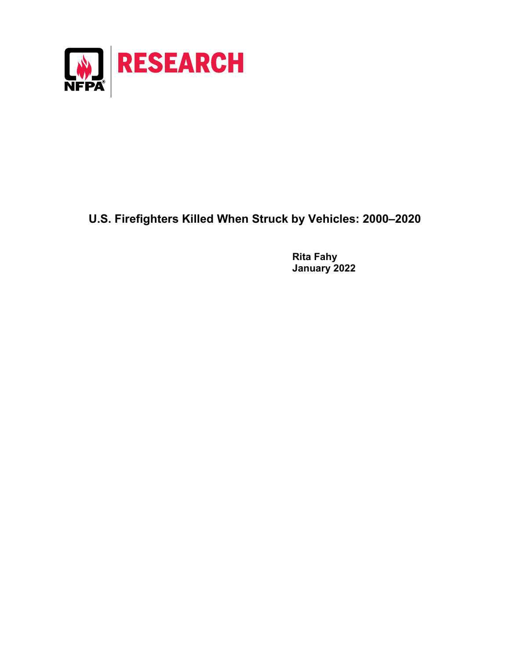

## **U.S. Firefighters Killed When Struck by Vehicles: 2000–2020**

**Rita Fahy January 2022**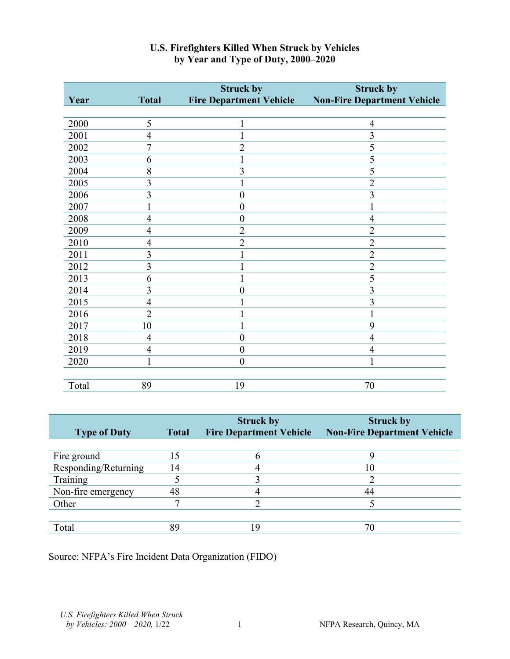|       |                | <b>Struck by</b>               | <b>Struck by</b>                   |
|-------|----------------|--------------------------------|------------------------------------|
| Year  | <b>Total</b>   | <b>Fire Department Vehicle</b> | <b>Non-Fire Department Vehicle</b> |
|       |                |                                |                                    |
| 2000  | 5              | $\mathbf{1}$                   | $\overline{4}$                     |
| 2001  | $\overline{4}$ | 1                              | $\overline{3}$                     |
| 2002  | $\overline{7}$ | $\overline{2}$                 | 5                                  |
| 2003  | 6              | 1                              | 5                                  |
| 2004  | 8              | 3                              | 5                                  |
| 2005  | 3              |                                | $\overline{c}$                     |
| 2006  | $\overline{3}$ | $\boldsymbol{0}$               | $\overline{3}$                     |
| 2007  |                | $\boldsymbol{0}$               | 1                                  |
| 2008  | $\overline{4}$ | $\boldsymbol{0}$               | $\overline{4}$                     |
| 2009  | 4              | $\overline{2}$                 | $\overline{2}$                     |
| 2010  | $\overline{4}$ | $\overline{2}$                 | $\overline{2}$                     |
| 2011  | 3              |                                | $\overline{c}$                     |
| 2012  | 3              |                                | $\overline{2}$                     |
| 2013  | 6              |                                | 5                                  |
| 2014  | 3              | $\boldsymbol{0}$               | $\overline{3}$                     |
| 2015  | $\overline{4}$ |                                | $\overline{3}$                     |
| 2016  | $\overline{2}$ |                                | 1                                  |
| 2017  | 10             |                                | 9                                  |
| 2018  | $\overline{4}$ | $\boldsymbol{0}$               | $\overline{4}$                     |
| 2019  | $\overline{4}$ | $\boldsymbol{0}$               | $\overline{4}$                     |
| 2020  | 1              | $\overline{0}$                 | 1                                  |
|       |                |                                |                                    |
| Total | 89             | 19                             | 70                                 |

## **U.S. Firefighters Killed When Struck by Vehicles by Year and Type of Duty, 2000–2020**

|                      |              | <b>Struck by</b>               | <b>Struck by</b>                   |
|----------------------|--------------|--------------------------------|------------------------------------|
| <b>Type of Duty</b>  | <b>Total</b> | <b>Fire Department Vehicle</b> | <b>Non-Fire Department Vehicle</b> |
|                      |              |                                |                                    |
| Fire ground          |              |                                |                                    |
| Responding/Returning | 14           |                                | 10                                 |
| Training             |              |                                |                                    |
| Non-fire emergency   | 48           |                                | 44                                 |
| Other                |              |                                |                                    |
|                      |              |                                |                                    |
| Total                | 89           | ۱Q                             | 70                                 |

Source: NFPA's Fire Incident Data Organization (FIDO)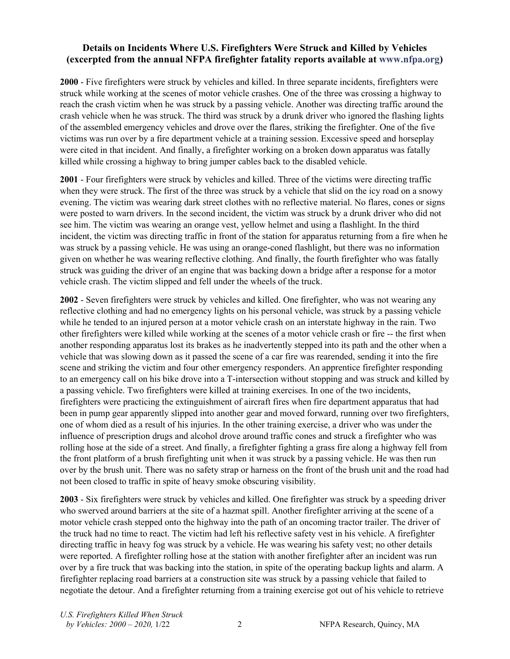## **Details on Incidents Where U.S. Firefighters Were Struck and Killed by Vehicles (excerpted from the annual NFPA firefighter fatality reports available at [www.nfpa.org\)](http://www.nfpa.org/)**

**2000** - Five firefighters were struck by vehicles and killed. In three separate incidents, firefighters were struck while working at the scenes of motor vehicle crashes. One of the three was crossing a highway to reach the crash victim when he was struck by a passing vehicle. Another was directing traffic around the crash vehicle when he was struck. The third was struck by a drunk driver who ignored the flashing lights of the assembled emergency vehicles and drove over the flares, striking the firefighter. One of the five victims was run over by a fire department vehicle at a training session. Excessive speed and horseplay were cited in that incident. And finally, a firefighter working on a broken down apparatus was fatally killed while crossing a highway to bring jumper cables back to the disabled vehicle.

**2001** - Four firefighters were struck by vehicles and killed. Three of the victims were directing traffic when they were struck. The first of the three was struck by a vehicle that slid on the icy road on a snowy evening. The victim was wearing dark street clothes with no reflective material. No flares, cones or signs were posted to warn drivers. In the second incident, the victim was struck by a drunk driver who did not see him. The victim was wearing an orange vest, yellow helmet and using a flashlight. In the third incident, the victim was directing traffic in front of the station for apparatus returning from a fire when he was struck by a passing vehicle. He was using an orange-coned flashlight, but there was no information given on whether he was wearing reflective clothing. And finally, the fourth firefighter who was fatally struck was guiding the driver of an engine that was backing down a bridge after a response for a motor vehicle crash. The victim slipped and fell under the wheels of the truck.

**2002** - Seven firefighters were struck by vehicles and killed. One firefighter, who was not wearing any reflective clothing and had no emergency lights on his personal vehicle, was struck by a passing vehicle while he tended to an injured person at a motor vehicle crash on an interstate highway in the rain. Two other firefighters were killed while working at the scenes of a motor vehicle crash or fire -- the first when another responding apparatus lost its brakes as he inadvertently stepped into its path and the other when a vehicle that was slowing down as it passed the scene of a car fire was rearended, sending it into the fire scene and striking the victim and four other emergency responders. An apprentice firefighter responding to an emergency call on his bike drove into a T-intersection without stopping and was struck and killed by a passing vehicle. Two firefighters were killed at training exercises. In one of the two incidents, firefighters were practicing the extinguishment of aircraft fires when fire department apparatus that had been in pump gear apparently slipped into another gear and moved forward, running over two firefighters, one of whom died as a result of his injuries. In the other training exercise, a driver who was under the influence of prescription drugs and alcohol drove around traffic cones and struck a firefighter who was rolling hose at the side of a street. And finally, a firefighter fighting a grass fire along a highway fell from the front platform of a brush firefighting unit when it was struck by a passing vehicle. He was then run over by the brush unit. There was no safety strap or harness on the front of the brush unit and the road had not been closed to traffic in spite of heavy smoke obscuring visibility.

**2003** - Six firefighters were struck by vehicles and killed. One firefighter was struck by a speeding driver who swerved around barriers at the site of a hazmat spill. Another firefighter arriving at the scene of a motor vehicle crash stepped onto the highway into the path of an oncoming tractor trailer. The driver of the truck had no time to react. The victim had left his reflective safety vest in his vehicle. A firefighter directing traffic in heavy fog was struck by a vehicle. He was wearing his safety vest; no other details were reported. A firefighter rolling hose at the station with another firefighter after an incident was run over by a fire truck that was backing into the station, in spite of the operating backup lights and alarm. A firefighter replacing road barriers at a construction site was struck by a passing vehicle that failed to negotiate the detour. And a firefighter returning from a training exercise got out of his vehicle to retrieve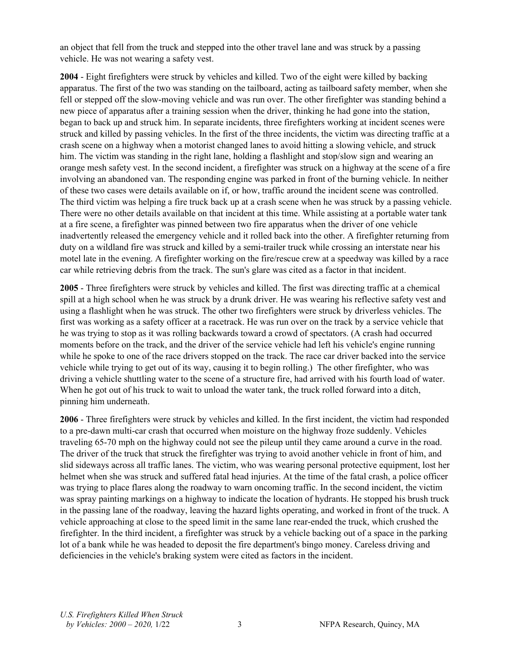an object that fell from the truck and stepped into the other travel lane and was struck by a passing vehicle. He was not wearing a safety vest.

**2004** - Eight firefighters were struck by vehicles and killed. Two of the eight were killed by backing apparatus. The first of the two was standing on the tailboard, acting as tailboard safety member, when she fell or stepped off the slow-moving vehicle and was run over. The other firefighter was standing behind a new piece of apparatus after a training session when the driver, thinking he had gone into the station, began to back up and struck him. In separate incidents, three firefighters working at incident scenes were struck and killed by passing vehicles. In the first of the three incidents, the victim was directing traffic at a crash scene on a highway when a motorist changed lanes to avoid hitting a slowing vehicle, and struck him. The victim was standing in the right lane, holding a flashlight and stop/slow sign and wearing an orange mesh safety vest. In the second incident, a firefighter was struck on a highway at the scene of a fire involving an abandoned van. The responding engine was parked in front of the burning vehicle. In neither of these two cases were details available on if, or how, traffic around the incident scene was controlled. The third victim was helping a fire truck back up at a crash scene when he was struck by a passing vehicle. There were no other details available on that incident at this time. While assisting at a portable water tank at a fire scene, a firefighter was pinned between two fire apparatus when the driver of one vehicle inadvertently released the emergency vehicle and it rolled back into the other. A firefighter returning from duty on a wildland fire was struck and killed by a semi-trailer truck while crossing an interstate near his motel late in the evening. A firefighter working on the fire/rescue crew at a speedway was killed by a race car while retrieving debris from the track. The sun's glare was cited as a factor in that incident.

**2005** - Three firefighters were struck by vehicles and killed. The first was directing traffic at a chemical spill at a high school when he was struck by a drunk driver. He was wearing his reflective safety vest and using a flashlight when he was struck. The other two firefighters were struck by driverless vehicles. The first was working as a safety officer at a racetrack. He was run over on the track by a service vehicle that he was trying to stop as it was rolling backwards toward a crowd of spectators. (A crash had occurred moments before on the track, and the driver of the service vehicle had left his vehicle's engine running while he spoke to one of the race drivers stopped on the track. The race car driver backed into the service vehicle while trying to get out of its way, causing it to begin rolling.) The other firefighter, who was driving a vehicle shuttling water to the scene of a structure fire, had arrived with his fourth load of water. When he got out of his truck to wait to unload the water tank, the truck rolled forward into a ditch, pinning him underneath.

**2006** - Three firefighters were struck by vehicles and killed. In the first incident, the victim had responded to a pre-dawn multi-car crash that occurred when moisture on the highway froze suddenly. Vehicles traveling 65-70 mph on the highway could not see the pileup until they came around a curve in the road. The driver of the truck that struck the firefighter was trying to avoid another vehicle in front of him, and slid sideways across all traffic lanes. The victim, who was wearing personal protective equipment, lost her helmet when she was struck and suffered fatal head injuries. At the time of the fatal crash, a police officer was trying to place flares along the roadway to warn oncoming traffic. In the second incident, the victim was spray painting markings on a highway to indicate the location of hydrants. He stopped his brush truck in the passing lane of the roadway, leaving the hazard lights operating, and worked in front of the truck. A vehicle approaching at close to the speed limit in the same lane rear-ended the truck, which crushed the firefighter. In the third incident, a firefighter was struck by a vehicle backing out of a space in the parking lot of a bank while he was headed to deposit the fire department's bingo money. Careless driving and deficiencies in the vehicle's braking system were cited as factors in the incident.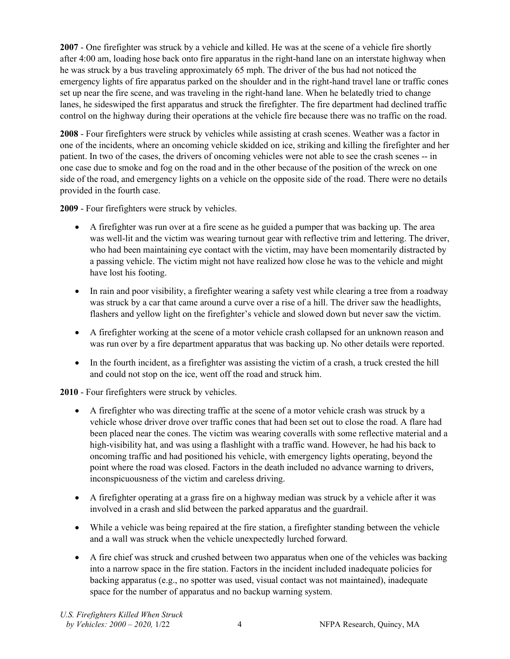**2007** - One firefighter was struck by a vehicle and killed. He was at the scene of a vehicle fire shortly after 4:00 am, loading hose back onto fire apparatus in the right-hand lane on an interstate highway when he was struck by a bus traveling approximately 65 mph. The driver of the bus had not noticed the emergency lights of fire apparatus parked on the shoulder and in the right-hand travel lane or traffic cones set up near the fire scene, and was traveling in the right-hand lane. When he belatedly tried to change lanes, he sideswiped the first apparatus and struck the firefighter. The fire department had declined traffic control on the highway during their operations at the vehicle fire because there was no traffic on the road.

**2008** - Four firefighters were struck by vehicles while assisting at crash scenes. Weather was a factor in one of the incidents, where an oncoming vehicle skidded on ice, striking and killing the firefighter and her patient. In two of the cases, the drivers of oncoming vehicles were not able to see the crash scenes -- in one case due to smoke and fog on the road and in the other because of the position of the wreck on one side of the road, and emergency lights on a vehicle on the opposite side of the road. There were no details provided in the fourth case.

**2009** - Four firefighters were struck by vehicles.

- A firefighter was run over at a fire scene as he guided a pumper that was backing up. The area was well-lit and the victim was wearing turnout gear with reflective trim and lettering. The driver, who had been maintaining eye contact with the victim, may have been momentarily distracted by a passing vehicle. The victim might not have realized how close he was to the vehicle and might have lost his footing.
- In rain and poor visibility, a firefighter wearing a safety vest while clearing a tree from a roadway was struck by a car that came around a curve over a rise of a hill. The driver saw the headlights, flashers and yellow light on the firefighter's vehicle and slowed down but never saw the victim.
- A firefighter working at the scene of a motor vehicle crash collapsed for an unknown reason and was run over by a fire department apparatus that was backing up. No other details were reported.
- In the fourth incident, as a firefighter was assisting the victim of a crash, a truck crested the hill and could not stop on the ice, went off the road and struck him.

**2010** - Four firefighters were struck by vehicles.

- A firefighter who was directing traffic at the scene of a motor vehicle crash was struck by a vehicle whose driver drove over traffic cones that had been set out to close the road. A flare had been placed near the cones. The victim was wearing coveralls with some reflective material and a high-visibility hat, and was using a flashlight with a traffic wand. However, he had his back to oncoming traffic and had positioned his vehicle, with emergency lights operating, beyond the point where the road was closed. Factors in the death included no advance warning to drivers, inconspicuousness of the victim and careless driving.
- A firefighter operating at a grass fire on a highway median was struck by a vehicle after it was involved in a crash and slid between the parked apparatus and the guardrail.
- While a vehicle was being repaired at the fire station, a firefighter standing between the vehicle and a wall was struck when the vehicle unexpectedly lurched forward.
- A fire chief was struck and crushed between two apparatus when one of the vehicles was backing into a narrow space in the fire station. Factors in the incident included inadequate policies for backing apparatus (e.g., no spotter was used, visual contact was not maintained), inadequate space for the number of apparatus and no backup warning system.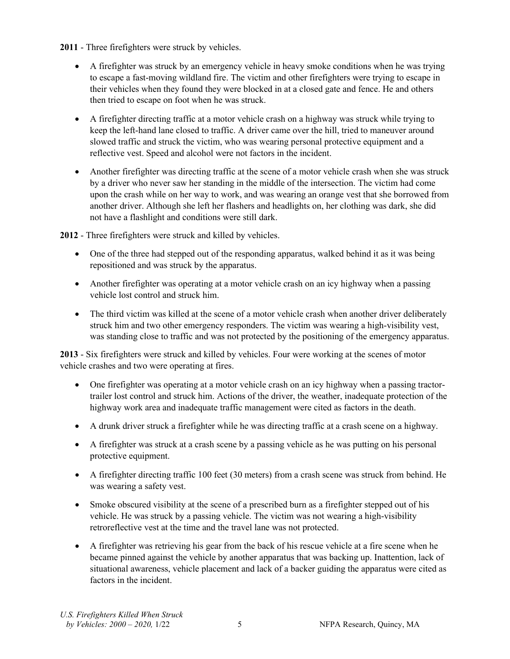**2011** - Three firefighters were struck by vehicles.

- A firefighter was struck by an emergency vehicle in heavy smoke conditions when he was trying to escape a fast-moving wildland fire. The victim and other firefighters were trying to escape in their vehicles when they found they were blocked in at a closed gate and fence. He and others then tried to escape on foot when he was struck.
- A firefighter directing traffic at a motor vehicle crash on a highway was struck while trying to keep the left-hand lane closed to traffic. A driver came over the hill, tried to maneuver around slowed traffic and struck the victim, who was wearing personal protective equipment and a reflective vest. Speed and alcohol were not factors in the incident.
- Another firefighter was directing traffic at the scene of a motor vehicle crash when she was struck by a driver who never saw her standing in the middle of the intersection. The victim had come upon the crash while on her way to work, and was wearing an orange vest that she borrowed from another driver. Although she left her flashers and headlights on, her clothing was dark, she did not have a flashlight and conditions were still dark.

**2012** - Three firefighters were struck and killed by vehicles.

- One of the three had stepped out of the responding apparatus, walked behind it as it was being repositioned and was struck by the apparatus.
- Another firefighter was operating at a motor vehicle crash on an icy highway when a passing vehicle lost control and struck him.
- The third victim was killed at the scene of a motor vehicle crash when another driver deliberately struck him and two other emergency responders. The victim was wearing a high-visibility vest, was standing close to traffic and was not protected by the positioning of the emergency apparatus.

**2013** - Six firefighters were struck and killed by vehicles. Four were working at the scenes of motor vehicle crashes and two were operating at fires.

- One firefighter was operating at a motor vehicle crash on an icy highway when a passing tractortrailer lost control and struck him. Actions of the driver, the weather, inadequate protection of the highway work area and inadequate traffic management were cited as factors in the death.
- A drunk driver struck a firefighter while he was directing traffic at a crash scene on a highway.
- A firefighter was struck at a crash scene by a passing vehicle as he was putting on his personal protective equipment.
- A firefighter directing traffic 100 feet (30 meters) from a crash scene was struck from behind. He was wearing a safety vest.
- Smoke obscured visibility at the scene of a prescribed burn as a firefighter stepped out of his vehicle. He was struck by a passing vehicle. The victim was not wearing a high-visibility retroreflective vest at the time and the travel lane was not protected.
- A firefighter was retrieving his gear from the back of his rescue vehicle at a fire scene when he became pinned against the vehicle by another apparatus that was backing up. Inattention, lack of situational awareness, vehicle placement and lack of a backer guiding the apparatus were cited as factors in the incident.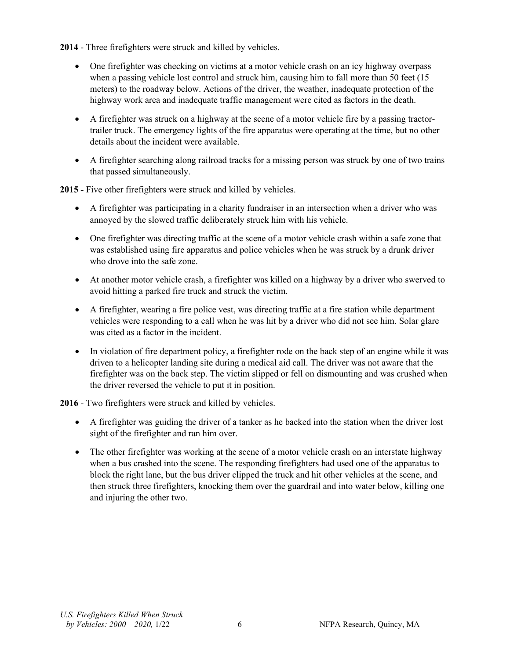**2014** - Three firefighters were struck and killed by vehicles.

- One firefighter was checking on victims at a motor vehicle crash on an icy highway overpass when a passing vehicle lost control and struck him, causing him to fall more than 50 feet (15 meters) to the roadway below. Actions of the driver, the weather, inadequate protection of the highway work area and inadequate traffic management were cited as factors in the death.
- A firefighter was struck on a highway at the scene of a motor vehicle fire by a passing tractortrailer truck. The emergency lights of the fire apparatus were operating at the time, but no other details about the incident were available.
- A firefighter searching along railroad tracks for a missing person was struck by one of two trains that passed simultaneously.

**2015 -** Five other firefighters were struck and killed by vehicles.

- A firefighter was participating in a charity fundraiser in an intersection when a driver who was annoyed by the slowed traffic deliberately struck him with his vehicle.
- One firefighter was directing traffic at the scene of a motor vehicle crash within a safe zone that was established using fire apparatus and police vehicles when he was struck by a drunk driver who drove into the safe zone.
- At another motor vehicle crash, a firefighter was killed on a highway by a driver who swerved to avoid hitting a parked fire truck and struck the victim.
- A firefighter, wearing a fire police vest, was directing traffic at a fire station while department vehicles were responding to a call when he was hit by a driver who did not see him. Solar glare was cited as a factor in the incident.
- In violation of fire department policy, a firefighter rode on the back step of an engine while it was driven to a helicopter landing site during a medical aid call. The driver was not aware that the firefighter was on the back step. The victim slipped or fell on dismounting and was crushed when the driver reversed the vehicle to put it in position.

**2016** - Two firefighters were struck and killed by vehicles.

- A firefighter was guiding the driver of a tanker as he backed into the station when the driver lost sight of the firefighter and ran him over.
- The other firefighter was working at the scene of a motor vehicle crash on an interstate highway when a bus crashed into the scene. The responding firefighters had used one of the apparatus to block the right lane, but the bus driver clipped the truck and hit other vehicles at the scene, and then struck three firefighters, knocking them over the guardrail and into water below, killing one and injuring the other two.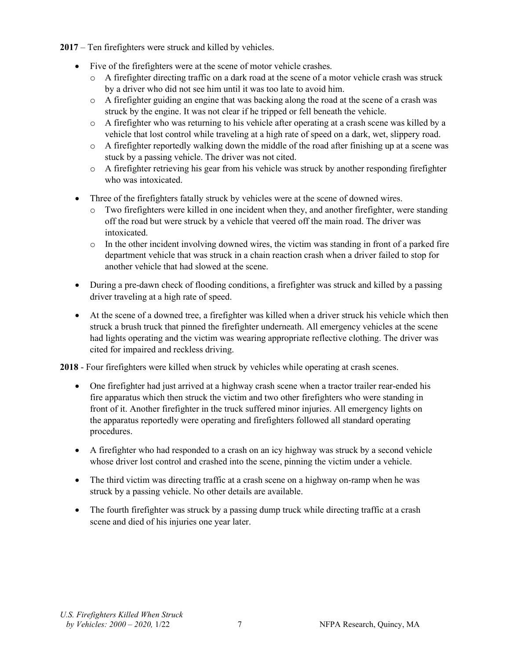**2017** – Ten firefighters were struck and killed by vehicles.

- Five of the firefighters were at the scene of motor vehicle crashes.
	- $\circ$  A firefighter directing traffic on a dark road at the scene of a motor vehicle crash was struck by a driver who did not see him until it was too late to avoid him.
	- o A firefighter guiding an engine that was backing along the road at the scene of a crash was struck by the engine. It was not clear if he tripped or fell beneath the vehicle.
	- $\circ$  A firefighter who was returning to his vehicle after operating at a crash scene was killed by a vehicle that lost control while traveling at a high rate of speed on a dark, wet, slippery road.
	- o A firefighter reportedly walking down the middle of the road after finishing up at a scene was stuck by a passing vehicle. The driver was not cited.
	- o A firefighter retrieving his gear from his vehicle was struck by another responding firefighter who was intoxicated.
- Three of the firefighters fatally struck by vehicles were at the scene of downed wires.
	- Two firefighters were killed in one incident when they, and another firefighter, were standing off the road but were struck by a vehicle that veered off the main road. The driver was intoxicated.
	- o In the other incident involving downed wires, the victim was standing in front of a parked fire department vehicle that was struck in a chain reaction crash when a driver failed to stop for another vehicle that had slowed at the scene.
- During a pre-dawn check of flooding conditions, a firefighter was struck and killed by a passing driver traveling at a high rate of speed.
- At the scene of a downed tree, a firefighter was killed when a driver struck his vehicle which then struck a brush truck that pinned the firefighter underneath. All emergency vehicles at the scene had lights operating and the victim was wearing appropriate reflective clothing. The driver was cited for impaired and reckless driving.

**2018** - Four firefighters were killed when struck by vehicles while operating at crash scenes.

- One firefighter had just arrived at a highway crash scene when a tractor trailer rear-ended his fire apparatus which then struck the victim and two other firefighters who were standing in front of it. Another firefighter in the truck suffered minor injuries. All emergency lights on the apparatus reportedly were operating and firefighters followed all standard operating procedures.
- A firefighter who had responded to a crash on an icy highway was struck by a second vehicle whose driver lost control and crashed into the scene, pinning the victim under a vehicle.
- The third victim was directing traffic at a crash scene on a highway on-ramp when he was struck by a passing vehicle. No other details are available.
- The fourth firefighter was struck by a passing dump truck while directing traffic at a crash scene and died of his injuries one year later.